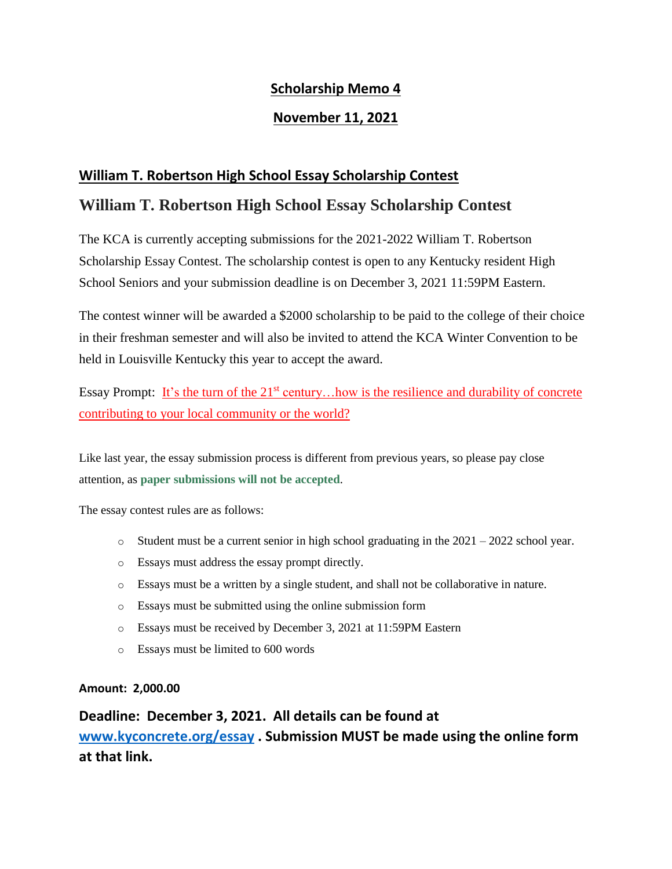#### **Scholarship Memo 4**

#### **November 11, 2021**

#### **William T. Robertson High School Essay Scholarship Contest**

### **William T. Robertson High School Essay Scholarship Contest**

The KCA is currently accepting submissions for the 2021-2022 William T. Robertson Scholarship Essay Contest. The scholarship contest is open to any Kentucky resident High School Seniors and your submission deadline is on December 3, 2021 11:59PM Eastern.

The contest winner will be awarded a \$2000 scholarship to be paid to the college of their choice in their freshman semester and will also be invited to attend the KCA Winter Convention to be held in Louisville Kentucky this year to accept the award.

Essay Prompt: It's the turn of the  $21<sup>st</sup>$  century... how is the resilience and durability of concrete contributing to your local community or the world?

Like last year, the essay submission process is different from previous years, so please pay close attention, as **paper submissions will not be accepted**.

The essay contest rules are as follows:

- $\circ$  Student must be a current senior in high school graduating in the 2021 2022 school year.
- o Essays must address the essay prompt directly.
- o Essays must be a written by a single student, and shall not be collaborative in nature.
- o Essays must be submitted using the online submission form
- o Essays must be received by December 3, 2021 at 11:59PM Eastern
- o Essays must be limited to 600 words

#### **Amount: 2,000.00**

**Deadline: December 3, 2021. All details can be found at [www.kyconcrete.org/essay](http://www.kyconcrete.org/essay) . Submission MUST be made using the online form at that link.**